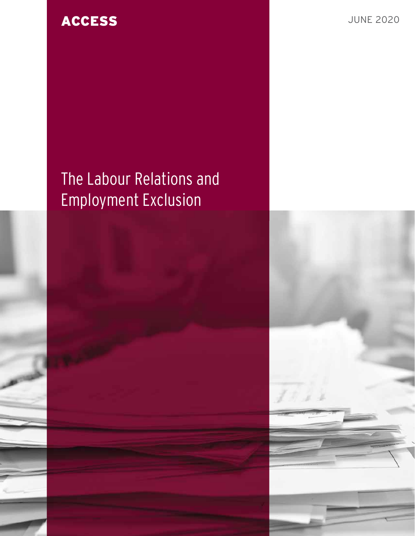**ACCESS** JUNE 2020

# The Labour Relations and Employment Exclusion

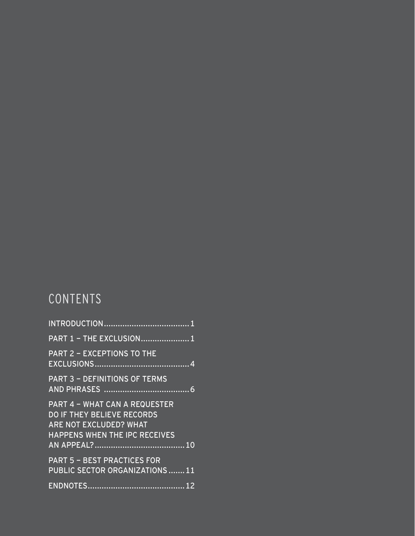# CONTENTS

| <b>PART 1 - THE EXCLUSION1</b>                                                                                                                     |
|----------------------------------------------------------------------------------------------------------------------------------------------------|
| <b>PART 2 - EXCEPTIONS TO THE</b>                                                                                                                  |
| <b>PART 3 - DEFINITIONS OF TERMS</b>                                                                                                               |
| <b>PART 4 - WHAT CAN A REQUESTER</b><br><b>DO IF THEY BELIEVE RECORDS</b><br><b>ARE NOT EXCLUDED? WHAT</b><br><b>HAPPENS WHEN THE IPC RECEIVES</b> |
|                                                                                                                                                    |
| <b>PART 5 - BEST PRACTICES FOR</b><br>PUBLIC SECTOR ORGANIZATIONS 11                                                                               |
|                                                                                                                                                    |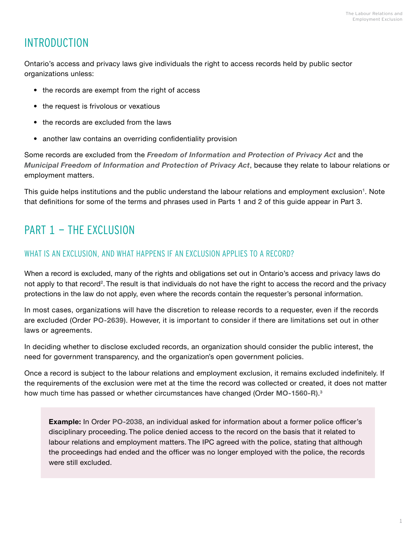### <span id="page-2-1"></span><span id="page-2-0"></span>INTRODUCTION

Ontario's access and privacy laws give individuals the right to access records held by public sector organizations unless:

- the records are exempt from the right of access
- the request is frivolous or vexatious
- the records are excluded from the laws
- another law contains an overriding confidentiality provision

Some records are excluded from the *[Freedom of Information and Protection of Privacy Act](https://www.ontario.ca/laws/statute/90f31)* and the *[Municipal Freedom of Information and Protection of Privacy Act](https://www.ontario.ca/laws/statute/90m56)*, because they relate to labour relations or employment matters.

This guide helps institutions and the public understand the labour relations and employment exclusion**[1](#page-13-1)**. Note that definitions for some of the terms and phrases used in Parts 1 and 2 of this guide appear in Part 3.

### PART 1 - THE EXCLUSION

#### WHAT IS AN EXCLUSION, AND WHAT HAPPENS IF AN EXCLUSION APPLIES TO A RECORD?

When a record is excluded, many of the rights and obligations set out in Ontario's access and privacy laws do not apply to that record**[2](#page-13-2)** . The result is that individuals do not have the right to access the record and the privacy protections in the law do not apply, even where the records contain the requester's personal information.

In most cases, organizations will have the discretion to release records to a requester, even if the records are excluded (Order **[PO-2639](https://decisions.ipc.on.ca/ipc-cipvp/orders/en/item/132862/index.do?q=ORDER+PO-2639)**). However, it is important to consider if there are limitations set out in other laws or agreements.

In deciding whether to disclose excluded records, an organization should consider the public interest, the need for government transparency, and the organization's open government policies.

Once a record is subject to the labour relations and employment exclusion, it remains excluded indefinitely. If the requirements of the exclusion were met at the time the record was collected or created, it does not matter how much time has passed or whether circumstances have changed (Order **[MO-1560-R](https://decisions.ipc.on.ca/ipc-cipvp/orders/en/item/131513/index.do)**).**[3](#page-13-3)**

**Example:** In Order **[PO-2038](https://decisions.ipc.on.ca/ipc-cipvp/orders/en/item/131658/index.do)**, an individual asked for information about a former police officer's disciplinary proceeding. The police denied access to the record on the basis that it related to labour relations and employment matters. The IPC agreed with the police, stating that although the proceedings had ended and the officer was no longer employed with the police, the records were still excluded.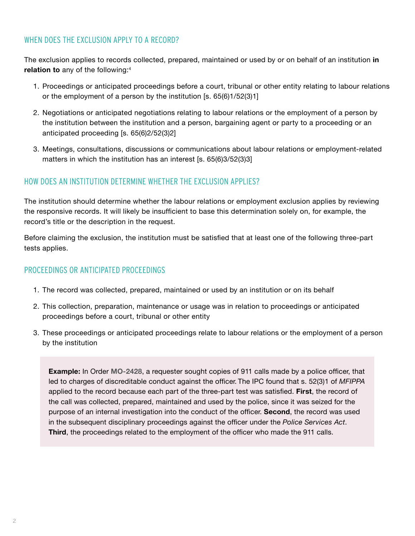#### WHEN DOES THE EXCLUSION APPLY TO A RECORD?

The exclusion applies to records collected, prepared, maintained or used by or on behalf of an institution **in relation to** any of the following:**[4](#page-13-4)**

- 1. Proceedings or anticipated proceedings before a court, tribunal or other entity relating to labour relations or the employment of a person by the institution [s. 65(6)1/52(3)1]
- 2. Negotiations or anticipated negotiations relating to labour relations or the employment of a person by the institution between the institution and a person, bargaining agent or party to a proceeding or an anticipated proceeding [s. 65(6)2/52(3)2]
- 3. Meetings, consultations, discussions or communications about labour relations or employment-related matters in which the institution has an interest [s. 65(6)3/52(3)3]

#### HOW DOES AN INSTITUTION DETERMINE WHETHER THE EXCLUSION APPLIES?

The institution should determine whether the labour relations or employment exclusion applies by reviewing the responsive records. It will likely be insufficient to base this determination solely on, for example, the record's title or the description in the request.

Before claiming the exclusion, the institution must be satisfied that at least one of the following three-part tests applies.

#### PROCEEDINGS OR ANTICIPATED PROCEEDINGS

- 1. The record was collected, prepared, maintained or used by an institution or on its behalf
- 2. This collection, preparation, maintenance or usage was in relation to proceedings or anticipated proceedings before a court, tribunal or other entity
- 3. These proceedings or anticipated proceedings relate to labour relations or the employment of a person by the institution

**Example:** In Order **[MO-2428](https://decisions.ipc.on.ca/ipc-cipvp/orders/en/item/133303/index.do?q=MO-2428)**, a requester sought copies of 911 calls made by a police officer, that led to charges of discreditable conduct against the officer. The IPC found that s. 52(3)1 of *MFIPPA* applied to the record because each part of the three-part test was satisfied. **First**, the record of the call was collected, prepared, maintained and used by the police, since it was seized for the purpose of an internal investigation into the conduct of the officer. **Second**, the record was used in the subsequent disciplinary proceedings against the officer under the *Police Services Act*. **Third**, the proceedings related to the employment of the officer who made the 911 calls.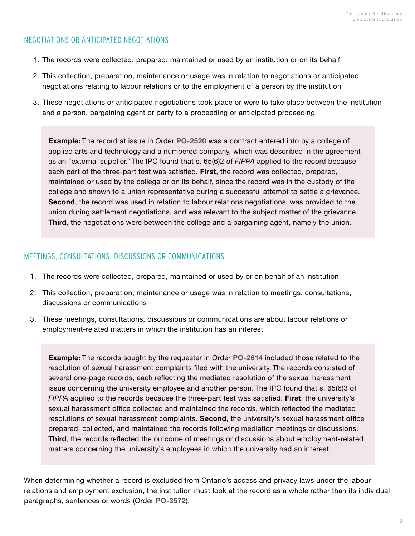#### NEGOTIATIONS OR ANTICIPATED NEGOTIATIONS

- 1. The records were collected, prepared, maintained or used by an institution or on its behalf
- 2. This collection, preparation, maintenance or usage was in relation to negotiations or anticipated negotiations relating to labour relations or to the employment of a person by the institution
- 3. These negotiations or anticipated negotiations took place or were to take place between the institution and a person, bargaining agent or party to a proceeding or anticipated proceeding

**Example:** The record at issue in Order **[PO-2520](https://decisions.ipc.on.ca/ipc-cipvp/orders/en/item/132772/index.do?q=PO-2520)** was a contract entered into by a college of applied arts and technology and a numbered company, which was described in the agreement as an "external supplier." The IPC found that s. 65(6)2 of *FIPPA* applied to the record because each part of the three-part test was satisfied. **First**, the record was collected, prepared, maintained or used by the college or on its behalf, since the record was in the custody of the college and shown to a union representative during a successful attempt to settle a grievance. **Second**, the record was used in relation to labour relations negotiations, was provided to the union during settlement negotiations, and was relevant to the subject matter of the grievance. **Third**, the negotiations were between the college and a bargaining agent, namely the union.

#### MEETINGS, CONSULTATIONS, DISCUSSIONS OR COMMUNICATIONS

- 1. The records were collected, prepared, maintained or used by or on behalf of an institution
- 2. This collection, preparation, maintenance or usage was in relation to meetings, consultations, discussions or communications
- 3. These meetings, consultations, discussions or communications are about labour relations or employment-related matters in which the institution has an interest

**Example:** The records sought by the requester in Order **[PO-2614](https://decisions.ipc.on.ca/ipc-cipvp/orders/en/item/133010/index.do)** included those related to the resolution of sexual harassment complaints filed with the university. The records consisted of several one-page records, each reflecting the mediated resolution of the sexual harassment issue concerning the university employee and another person. The IPC found that s. 65(6)3 of *FIPPA* applied to the records because the three-part test was satisfied. **First**, the university's sexual harassment office collected and maintained the records, which reflected the mediated resolutions of sexual harassment complaints. **Second**, the university's sexual harassment office prepared, collected, and maintained the records following mediation meetings or discussions. **Third**, the records reflected the outcome of meetings or discussions about employment-related matters concerning the university's employees in which the university had an interest.

When determining whether a record is excluded from Ontario's access and privacy laws under the labour relations and employment exclusion, the institution must look at the record as a whole rather than its individual paragraphs, sentences or words (Order **[PO-3572](https://decisions.ipc.on.ca/ipc-cipvp/orders/en/item/144759/index.do)**).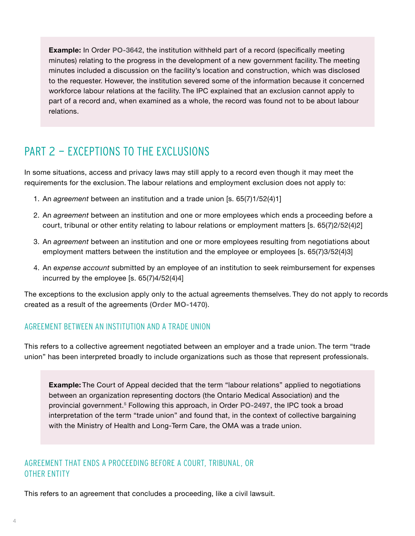<span id="page-5-0"></span>**Example:** In Order **[PO-3642](https://decisions.ipc.on.ca/ipc-cipvp/orders/en/item/180285/index.do)**, the institution withheld part of a record (specifically meeting minutes) relating to the progress in the development of a new government facility. The meeting minutes included a discussion on the facility's location and construction, which was disclosed to the requester. However, the institution severed some of the information because it concerned workforce labour relations at the facility. The IPC explained that an exclusion cannot apply to part of a record and, when examined as a whole, the record was found not to be about labour relations.

### PART 2 - EXCEPTIONS TO THE EXCLUSIONS

In some situations, access and privacy laws may still apply to a record even though it may meet the requirements for the exclusion. The labour relations and employment exclusion does not apply to:

- 1. An *agreement* between an institution and a trade union [s. 65(7)1/52(4)1]
- 2. An *agreement* between an institution and one or more employees which ends a proceeding before a court, tribunal or other entity relating to labour relations or employment matters [s. 65(7)2/52(4)2]
- 3. An *agreement* between an institution and one or more employees resulting from negotiations about employment matters between the institution and the employee or employees [s. 65(7)3/52(4)3]
- 4. An *expense account* submitted by an employee of an institution to seek reimbursement for expenses incurred by the employee [s. 65(7)4/52(4)4]

The exceptions to the exclusion apply only to the actual agreements themselves. They do not apply to records created as a result of the agreements (**Order [MO-1470](https://decisions.ipc.on.ca/ipc-cipvp/orders/en/item/131402/index.do)**).

#### AGREEMENT BETWEEN AN INSTITUTION AND A TRADE UNION

This refers to a collective agreement negotiated between an employer and a trade union. The term "trade union" has been interpreted broadly to include organizations such as those that represent professionals.

**Example:** The Court of Appeal decided that the term "labour relations" applied to negotiations between an organization representing doctors (the Ontario Medical Association) and the provincial government.**[5](#page-2-1)** Following this approach, in Order **[PO-2497](https://decisions.ipc.on.ca/ipc-cipvp/orders/en/item/132701/index.do)**, the IPC took a broad interpretation of the term "trade union" and found that, in the context of collective bargaining with the Ministry of Health and Long-Term Care, the OMA was a trade union.

#### AGREEMENT THAT ENDS A PROCEEDING BEFORE A COURT, TRIBUNAL, OR OTHER ENTITY

This refers to an agreement that concludes a proceeding, like a civil lawsuit.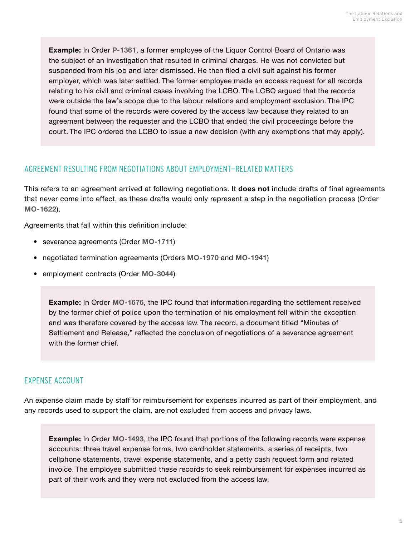**Example:** In Order **[P-1361](https://decisions.ipc.on.ca/ipc-cipvp/orders/en/item/130263/index.do?site_preference=normal)**, a former employee of the Liquor Control Board of Ontario was the subject of an investigation that resulted in criminal charges. He was not convicted but suspended from his job and later dismissed. He then filed a civil suit against his former employer, which was later settled. The former employee made an access request for all records relating to his civil and criminal cases involving the LCBO. The LCBO argued that the records were outside the law's scope due to the labour relations and employment exclusion. The IPC found that some of the records were covered by the access law because they related to an agreement between the requester and the LCBO that ended the civil proceedings before the court. The IPC ordered the LCBO to issue a new decision (with any exemptions that may apply).

#### AGREEMENT RESULTING FROM NEGOTIATIONS ABOUT EMPLOYMENT-RELATED MATTERS

This refers to an agreement arrived at following negotiations. It **does not** include drafts of final agreements that never come into effect, as these drafts would only represent a step in the negotiation process (Order **[MO-1622](https://decisions.ipc.on.ca/ipc-cipvp/orders/en/item/131683/index.do)**).

Agreements that fall within this definition include:

- severance agreements (Order **[MO-1711](https://decisions.ipc.on.ca/ipc-cipvp/orders/en/item/131934/index.do)**)
- negotiated termination agreements (Orders **[MO-1970](https://decisions.ipc.on.ca/ipc-cipvp/orders/en/item/132346/index.do)** and **[MO-1941](https://decisions.ipc.on.ca/ipc-cipvp/orders/en/item/132278/index.do)**)
- employment contracts (Order **[MO-3044](https://decisions.ipc.on.ca/ipc-cipvp/orders/en/item/134365/index.do?site_preference=normal)**)

**Example:** In Order **[MO-1676](https://decisions.ipc.on.ca/ipc-cipvp/orders/en/item/131800/index.do)**, the IPC found that information regarding the settlement received by the former chief of police upon the termination of his employment fell within the exception and was therefore covered by the access law. The record, a document titled "Minutes of Settlement and Release," reflected the conclusion of negotiations of a severance agreement with the former chief.

#### EXPENSE ACCOUNT

An expense claim made by staff for reimbursement for expenses incurred as part of their employment, and any records used to support the claim, are not excluded from access and privacy laws.

**Example:** In Order **[MO-1493](https://decisions.ipc.on.ca/ipc-cipvp/orders/en/item/131575/index.do)**, the IPC found that portions of the following records were expense accounts: three travel expense forms, two cardholder statements, a series of receipts, two cellphone statements, travel expense statements, and a petty cash request form and related invoice. The employee submitted these records to seek reimbursement for expenses incurred as part of their work and they were not excluded from the access law.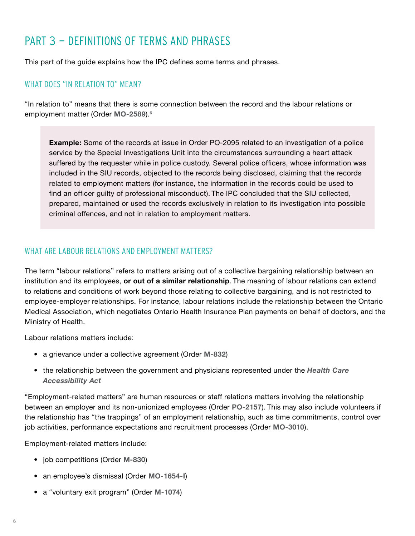### <span id="page-7-0"></span>PART 3 - DEFINITIONS OF TERMS AND PHRASES

This part of the guide explains how the IPC defines some terms and phrases.

#### WHAT DOES "IN RELATION TO" MEAN?

"In relation to" means that there is some connection between the record and the labour relations or employment matter (Order **[MO-2589](https://decisions.ipc.on.ca/ipc-cipvp/orders/en/item/133626/index.do)**).**[6](#page-13-5)**

**Example:** Some of the records at issue in Order [PO-2095](https://decisions.ipc.on.ca/ipc-cipvp/orders/en/item/131693/index.do) related to an investigation of a police service by the Special Investigations Unit into the circumstances surrounding a heart attack suffered by the requester while in police custody. Several police officers, whose information was included in the SIU records, objected to the records being disclosed, claiming that the records related to employment matters (for instance, the information in the records could be used to find an officer guilty of professional misconduct). The IPC concluded that the SIU collected, prepared, maintained or used the records exclusively in relation to its investigation into possible criminal offences, and not in relation to employment matters.

#### WHAT ARE LABOUR RELATIONS AND EMPLOYMENT MATTERS?

The term "labour relations" refers to matters arising out of a collective bargaining relationship between an institution and its employees, **or out of a similar relationship**. The meaning of labour relations can extend to relations and conditions of work beyond those relating to collective bargaining, and is not restricted to employee-employer relationships. For instance, labour relations include the relationship between the Ontario Medical Association, which negotiates Ontario Health Insurance Plan payments on behalf of doctors, and the Ministry of Health.

Labour relations matters include:

- a grievance under a collective agreement (Order **[M-832](https://decisions.ipc.on.ca/ipc-cipvp/orders/en/item/130037/index.do)**)
- the relationship between the government and physicians represented under the *[Health Care](https://www.ontario.ca/laws/statute/90h03)  [Accessibility Act](https://www.ontario.ca/laws/statute/90h03)*

"Employment-related matters" are human resources or staff relations matters involving the relationship between an employer and its non-unionized employees (Order **[PO-2157](https://decisions.ipc.on.ca/ipc-cipvp/orders/en/item/131819/index.do)**). This may also include volunteers if the relationship has "the trappings" of an employment relationship, such as time commitments, control over job activities, performance expectations and recruitment processes (Order **[MO-3010](https://decisions.ipc.on.ca/ipc-cipvp/orders/en/item/134347/index.do)**).

Employment-related matters include:

- job competitions (Order **[M-830](https://decisions.ipc.on.ca/ipc-cipvp/orders/en/item/129966/index.do)**)
- an employee's dismissal (Order **[MO-1654-I](https://decisions.ipc.on.ca/ipc-cipvp/orders/en/item/131796/index.do)**)
- a "voluntary exit program" (Order **[M-1074](https://decisions.ipc.on.ca/ipc-cipvp/orders/en/item/130605/index.do)**)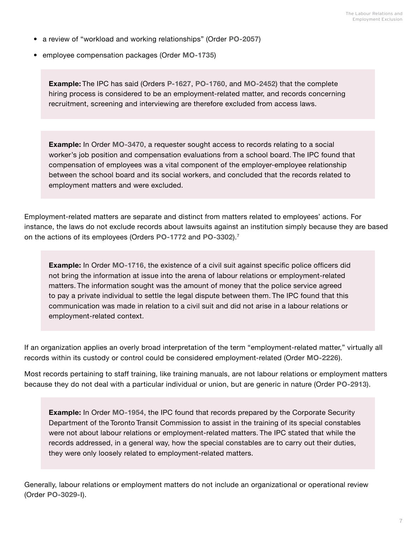- a review of "workload and working relationships" (Order **[PO-2057](https://decisions.ipc.on.ca/ipc-cipvp/orders/en/item/131633/index.do)**)
- employee compensation packages (Order **[MO-1735](https://decisions.ipc.on.ca/ipc-cipvp/orders/en/item/131938/index.do)**)

**Example:** The IPC has said (Orders **[P-1627](https://decisions.ipc.on.ca/ipc-cipvp/orders/en/item/130739/index.do)**, **[PO-1760](https://decisions.ipc.on.ca/ipc-cipvp/orders/en/item/130960/index.do)**, and **[MO-2452](https://decisions.ipc.on.ca/ipc-cipvp/orders/en/item/133318/index.do)**) that the complete hiring process is considered to be an employment-related matter, and records concerning recruitment, screening and interviewing are therefore excluded from access laws.

**Example:** In Order **[MO-3470](https://decisions.ipc.on.ca/ipc-cipvp/orders/en/item/233485/index.do)**, a requester sought access to records relating to a social worker's job position and compensation evaluations from a school board. The IPC found that compensation of employees was a vital component of the employer-employee relationship between the school board and its social workers, and concluded that the records related to employment matters and were excluded.

Employment-related matters are separate and distinct from matters related to employees' actions. For instance, the laws do not exclude records about lawsuits against an institution simply because they are based on the actions of its employees (Orders **[PO-1772](https://decisions.ipc.on.ca/ipc-cipvp/orders/en/item/130992/index.do)** and **[PO-3302](https://decisions.ipc.on.ca/ipc-cipvp/orders/en/item/134282/index.do)**).**[7](#page-13-6)**

**Example:** In Order **[MO-1716](https://decisions.ipc.on.ca/ipc-cipvp/orders/en/item/132028/index.do)**, the existence of a civil suit against specific police officers did not bring the information at issue into the arena of labour relations or employment-related matters. The information sought was the amount of money that the police service agreed to pay a private individual to settle the legal dispute between them. The IPC found that this communication was made in relation to a civil suit and did not arise in a labour relations or employment-related context.

If an organization applies an overly broad interpretation of the term "employment-related matter," virtually all records within its custody or control could be considered employment-related (Order **[MO-2226](https://decisions.ipc.on.ca/ipc-cipvp/orders/en/item/132973/index.do)**).

Most records pertaining to staff training, like training manuals, are not labour relations or employment matters because they do not deal with a particular individual or union, but are generic in nature (Order **[PO-2913](https://decisions.ipc.on.ca/ipc-cipvp/orders/en/item/133501/index.do)**).

**Example:** In Order **[MO-1954](https://decisions.ipc.on.ca/ipc-cipvp/orders/en/item/132312/index.do)**, the IPC found that records prepared by the Corporate Security Department of the Toronto Transit Commission to assist in the training of its special constables were not about labour relations or employment-related matters. The IPC stated that while the records addressed, in a general way, how the special constables are to carry out their duties, they were only loosely related to employment-related matters.

Generally, labour relations or employment matters do not include an organizational or operational review (Order **[PO-3029-I](https://decisions.ipc.on.ca/ipc-cipvp/orders/en/item/133823/index.do)**).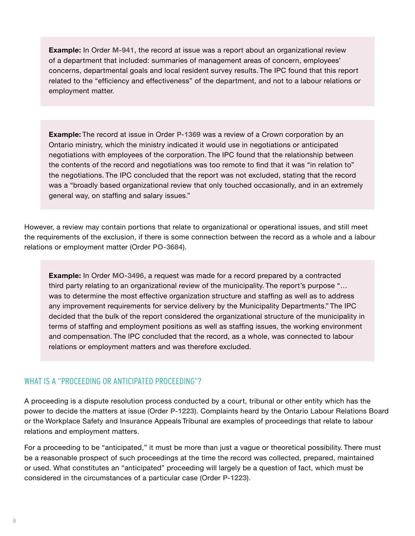**Example:** In Order **[M-941](https://decisions.ipc.on.ca/ipc-cipvp/orders/en/item/130267/index.do)**, the record at issue was a report about an organizational review of a department that included: summaries of management areas of concern, employees' concerns, departmental goals and local resident survey results. The IPC found that this report related to the "efficiency and effectiveness" of the department, and not to a labour relations or employment matter.

**Example:** The record at issue in Order **[P-1369](https://decisions.ipc.on.ca/ipc-cipvp/orders/en/item/130201/index.do)** was a review of a Crown corporation by an Ontario ministry, which the ministry indicated it would use in negotiations or anticipated negotiations with employees of the corporation. The IPC found that the relationship between the contents of the record and negotiations was too remote to find that it was "in relation to" the negotiations. The IPC concluded that the report was not excluded, stating that the record was a "broadly based organizational review that only touched occasionally, and in an extremely general way, on staffing and salary issues."

However, a review may contain portions that relate to organizational or operational issues, and still meet the requirements of the exclusion, if there is some connection between the record as a whole and a labour relations or employment matter (Order **[PO-3684](https://decisions.ipc.on.ca/ipc-cipvp/orders/en/item/218596/index.do)**).

**Example:** In Order **[MO-3496](https://decisions.ipc.on.ca/ipc-cipvp/orders/en/item/301441/index.do)**, a request was made for a record prepared by a contracted third party relating to an organizational review of the municipality. The report's purpose "… was to determine the most effective organization structure and staffing as well as to address any improvement requirements for service delivery by the Municipality Departments." The IPC decided that the bulk of the report considered the organizational structure of the municipality in terms of staffing and employment positions as well as staffing issues, the working environment and compensation. The IPC concluded that the record, as a whole, was connected to labour relations or employment matters and was therefore excluded.

#### WHAT IS A "PROCEEDING OR ANTICIPATED PROCEEDING"?

A proceeding is a dispute resolution process conducted by a court, tribunal or other entity which has the power to decide the matters at issue (Order **[P-1223](https://decisions.ipc.on.ca/ipc-cipvp/orders/en/item/130030/index.do)**). Complaints heard by the Ontario Labour Relations Board or the Workplace Safety and Insurance Appeals Tribunal are examples of proceedings that relate to labour relations and employment matters.

For a proceeding to be "anticipated," it must be more than just a vague or theoretical possibility. There must be a reasonable prospect of such proceedings at the time the record was collected, prepared, maintained or used. What constitutes an "anticipated" proceeding will largely be a question of fact, which must be considered in the circumstances of a particular case (Order **[P-1223](https://decisions.ipc.on.ca/ipc-cipvp/orders/en/item/130030/index.do)**).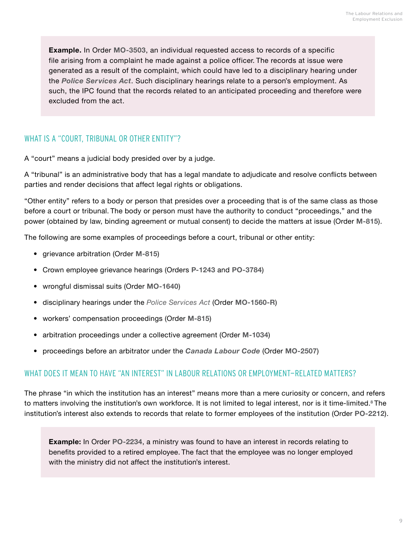**Example.** In Order **[MO-3503](https://decisions.ipc.on.ca/ipc-cipvp/orders/en/item/236386/index.do)**, an individual requested access to records of a specific file arising from a complaint he made against a police officer. The records at issue were generated as a result of the complaint, which could have led to a disciplinary hearing under the *[Police Services Act](https://www.ontario.ca/laws/statute/90p15)*. Such disciplinary hearings relate to a person's employment. As such, the IPC found that the records related to an anticipated proceeding and therefore were excluded from the act.

#### WHAT IS A "COURT, TRIBUNAL OR OTHER ENTITY"?

A "court" means a judicial body presided over by a judge.

A "tribunal" is an administrative body that has a legal mandate to adjudicate and resolve conflicts between parties and render decisions that affect legal rights or obligations.

"Other entity" refers to a body or person that presides over a proceeding that is of the same class as those before a court or tribunal. The body or person must have the authority to conduct "proceedings," and the power (obtained by law, binding agreement or mutual consent) to decide the matters at issue (Order **[M-815](https://decisions.ipc.on.ca/ipc-cipvp/orders/en/item/130085/index.do?q=M-815)**).

The following are some examples of proceedings before a court, tribunal or other entity:

- grievance arbitration (Order **[M-815](https://decisions.ipc.on.ca/ipc-cipvp/orders/en/item/130085/index.do?q=M-815)**)
- Crown employee grievance hearings (Orders **[P-1243](https://decisions.ipc.on.ca/ipc-cipvp/orders/en/item/129932/index.do)** and **[PO-3784](https://decisions.ipc.on.ca/ipc-cipvp/orders/en/item/302020/index.do)**)
- wrongful dismissal suits (Order **[MO-1640](https://decisions.ipc.on.ca/ipc-cipvp/orders/en/item/131697/index.do?site_preference=normal)**)
- disciplinary hearings under the *[Police Services Act](https://www.ontario.ca/laws/statute/90p15)* (Order **[MO-1560-R](https://decisions.ipc.on.ca/ipc-cipvp/orders/en/item/131513/index.do)**)
- workers' compensation proceedings (Order **[M-815](https://decisions.ipc.on.ca/ipc-cipvp/orders/en/item/130085/index.do?q=M-815)**)
- arbitration proceedings under a collective agreement (Order **[M-1034](https://decisions.ipc.on.ca/ipc-cipvp/orders/en/item/130487/index.do)**)
- proceedings before an arbitrator under the *[Canada Labour Code](https://laws-lois.justice.gc.ca/eng/acts/L-2/)* (Order **[MO-2507](https://decisions.ipc.on.ca/ipc-cipvp/orders/en/item/133377/index.do?q=MO-2507)**)

#### WHAT DOES IT MEAN TO HAVE "AN INTEREST" IN LABOUR RELATIONS OR EMPLOYMENT-RELATED MATTERS?

The phrase "in which the institution has an interest" means more than a mere curiosity or concern, and refers to matters involving the institution's own workforce. It is not limited to legal interest, nor is it time-limited.**[8](#page-13-7)** The institution's interest also extends to records that relate to former employees of the institution (Order **[PO-2212](https://decisions.ipc.on.ca/ipc-cipvp/orders/en/item/131919/index.do)**).

**Example:** In Order **[PO-2234](https://decisions.ipc.on.ca/ipc-cipvp/orders/en/item/131986/index.do)**, a ministry was found to have an interest in records relating to benefits provided to a retired employee. The fact that the employee was no longer employed with the ministry did not affect the institution's interest.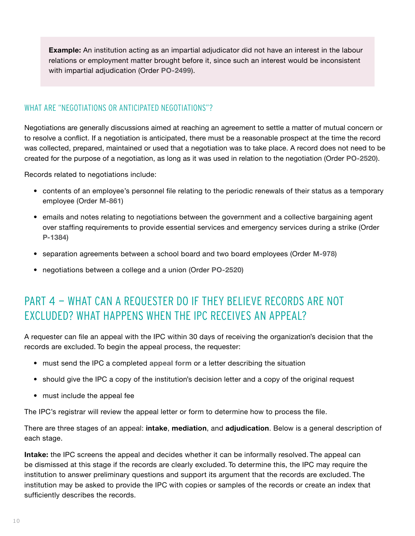<span id="page-11-0"></span>**Example:** An institution acting as an impartial adjudicator did not have an interest in the labour relations or employment matter brought before it, since such an interest would be inconsistent with impartial adjudication (Order **[PO-2499](https://decisions.ipc.on.ca/ipc-cipvp/orders/en/item/132594/index.do)**).

#### WHAT ARE "NEGOTIATIONS OR ANTICIPATED NEGOTIATIONS"?

Negotiations are generally discussions aimed at reaching an agreement to settle a matter of mutual concern or to resolve a conflict. If a negotiation is anticipated, there must be a reasonable prospect at the time the record was collected, prepared, maintained or used that a negotiation was to take place. A record does not need to be created for the purpose of a negotiation, as long as it was used in relation to the negotiation (Order **[PO-2520](https://decisions.ipc.on.ca/ipc-cipvp/orders/en/item/132772/index.do)**).

Records related to negotiations include:

- contents of an employee's personnel file relating to the periodic renewals of their status as a temporary employee (Order **[M-861](https://decisions.ipc.on.ca/ipc-cipvp/orders/en/item/130076/index.do)**)
- emails and notes relating to negotiations between the government and a collective bargaining agent over staffing requirements to provide essential services and emergency services during a strike (Order **[P-1384](https://decisions.ipc.on.ca/ipc-cipvp/orders/en/item/130229/index.do)**)
- separation agreements between a school board and two board employees (Order **[M-978](https://decisions.ipc.on.ca/ipc-cipvp/orders/en/item/130297/index.do?q=M-978)**)
- negotiations between a college and a union (Order **[PO-2520](https://decisions.ipc.on.ca/ipc-cipvp/orders/en/item/132772/index.do)**)

### PART 4 - WHAT CAN A REQUESTER DO IF THEY BELIEVE RECORDS ARE NOT EXCLUDED? WHAT HAPPENS WHEN THE IPC RECEIVES AN APPEAL?

A requester can file an appeal with the IPC within 30 days of receiving the organization's decision that the records are excluded. To begin the appeal process, the requester:

- must send the IPC a completed **[appeal form](https://www.ipc.on.ca/wp-content/uploads/resources/appfrm-e-online.pdf)** or a letter describing the situation
- should give the IPC a copy of the institution's decision letter and a copy of the original request
- must include the appeal fee

The IPC's registrar will review the appeal letter or form to determine how to process the file.

There are three stages of an appeal: **intake**, **mediation**, and **adjudication**. Below is a general description of each stage.

**Intake:** the IPC screens the appeal and decides whether it can be informally resolved. The appeal can be dismissed at this stage if the records are clearly excluded. To determine this, the IPC may require the institution to answer preliminary questions and support its argument that the records are excluded. The institution may be asked to provide the IPC with copies or samples of the records or create an index that sufficiently describes the records.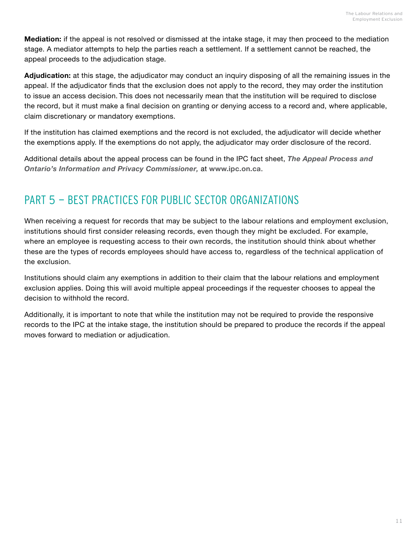<span id="page-12-0"></span>**Mediation:** if the appeal is not resolved or dismissed at the intake stage, it may then proceed to the mediation stage. A mediator attempts to help the parties reach a settlement. If a settlement cannot be reached, the appeal proceeds to the adjudication stage.

**Adjudication:** at this stage, the adjudicator may conduct an inquiry disposing of all the remaining issues in the appeal. If the adjudicator finds that the exclusion does not apply to the record, they may order the institution to issue an access decision. This does not necessarily mean that the institution will be required to disclose the record, but it must make a final decision on granting or denying access to a record and, where applicable, claim discretionary or mandatory exemptions.

If the institution has claimed exemptions and the record is not excluded, the adjudicator will decide whether the exemptions apply. If the exemptions do not apply, the adjudicator may order disclosure of the record.

Additional details about the appeal process can be found in the IPC fact sheet, *[The Appeal Process and](https://www.ipc.on.ca/wp-content/uploads/2000/09/appeal-process-e-web.pdf)  [Ontario's Information and Privacy Commissioner](https://www.ipc.on.ca/wp-content/uploads/2000/09/appeal-process-e-web.pdf),* at **[www.ipc.on.ca](http://www.ipc.on.ca)**.

### PART 5 - BEST PRACTICES FOR PUBLIC SECTOR ORGANIZATIONS

When receiving a request for records that may be subject to the labour relations and employment exclusion, institutions should first consider releasing records, even though they might be excluded. For example, where an employee is requesting access to their own records, the institution should think about whether these are the types of records employees should have access to, regardless of the technical application of the exclusion.

Institutions should claim any exemptions in addition to their claim that the labour relations and employment exclusion applies. Doing this will avoid multiple appeal proceedings if the requester chooses to appeal the decision to withhold the record.

Additionally, it is important to note that while the institution may not be required to provide the responsive records to the IPC at the intake stage, the institution should be prepared to produce the records if the appeal moves forward to mediation or adjudication.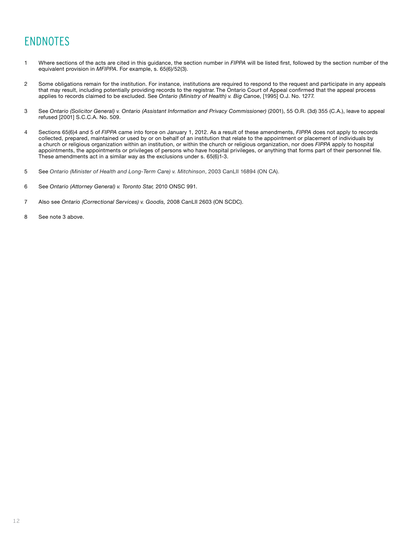## <span id="page-13-0"></span>ENDNOTES

- 1 Where sections of the acts are cited in this guidance, the section number in *FIPPA* will be listed first, followed by the section number of the equivalent provision in *MFIPPA*. For example, s. 65(6)/52(3).
- <span id="page-13-2"></span>2 Some obligations remain for the institution. For instance, institutions are required to respond to the request and participate in any appeals that may result, including potentially providing records to the registrar. The Ontario Court of Appeal confirmed that the appeal process applies to records claimed to be excluded. See *Ontario (Ministry of Health) v. Big Can*oe, [1995] O.J. No. 1277.
- <span id="page-13-3"></span>3 See *Ontario (Solicitor General) v. Ontario (Assistant Information and Privacy Commissioner)* (2001), 55 O.R. (3d) 355 (C.A.), leave to appeal refused [2001] S.C.C.A. No. 509.
- <span id="page-13-4"></span>4 Sections 65(6)4 and 5 of *FIPPA* came into force on January 1, 2012. As a result of these amendments, *FIPPA* does not apply to records collected, prepared, maintained or used by or on behalf of an institution that relate to the appointment or placement of individuals by a church or religious organization within an institution, or within the church or religious organization, nor does *FIPPA* apply to hospital appointments, the appointments or privileges of persons who have hospital privileges, or anything that forms part of their personnel file. These amendments act in a similar way as the exclusions under s. 65(6)1-3.
- <span id="page-13-1"></span>5 See *Ontario (Minister of Health and Long-Term Care) v. Mitchinson*, 2003 CanLII 16894 (ON CA).
- <span id="page-13-5"></span>6 See *Ontario (Attorney General) v. Toronto Star,* 2010 ONSC 991*.*
- <span id="page-13-6"></span>7 Also see *Ontario (Correctional Services) v. Goodis,* 2008 CanLII 2603 (ON SCDC).
- <span id="page-13-7"></span>8 See note 3 above.